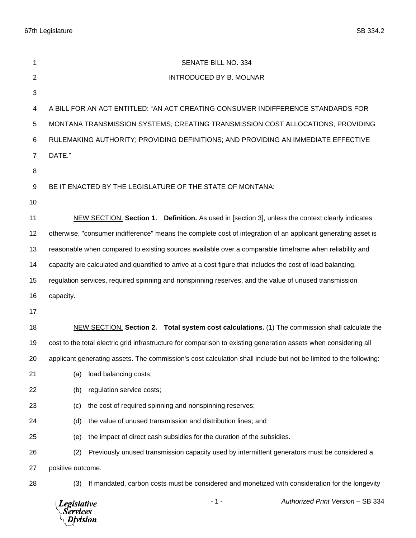67th Legislature SB 334.2

| 1              | SENATE BILL NO. 334                                                                                               |
|----------------|-------------------------------------------------------------------------------------------------------------------|
| $\overline{2}$ | <b>INTRODUCED BY B. MOLNAR</b>                                                                                    |
| 3              |                                                                                                                   |
| 4              | A BILL FOR AN ACT ENTITLED: "AN ACT CREATING CONSUMER INDIFFERENCE STANDARDS FOR                                  |
| 5              | MONTANA TRANSMISSION SYSTEMS; CREATING TRANSMISSION COST ALLOCATIONS; PROVIDING                                   |
| 6              | RULEMAKING AUTHORITY; PROVIDING DEFINITIONS; AND PROVIDING AN IMMEDIATE EFFECTIVE                                 |
| $\overline{7}$ | DATE."                                                                                                            |
| 8              |                                                                                                                   |
| 9              | BE IT ENACTED BY THE LEGISLATURE OF THE STATE OF MONTANA:                                                         |
| 10             |                                                                                                                   |
| 11             | NEW SECTION. Section 1. Definition. As used in [section 3], unless the context clearly indicates                  |
| 12             | otherwise, "consumer indifference" means the complete cost of integration of an applicant generating asset is     |
| 13             | reasonable when compared to existing sources available over a comparable timeframe when reliability and           |
| 14             | capacity are calculated and quantified to arrive at a cost figure that includes the cost of load balancing,       |
| 15             | regulation services, required spinning and nonspinning reserves, and the value of unused transmission             |
| 16             | capacity.                                                                                                         |
| 17             |                                                                                                                   |
| 18             | NEW SECTION. Section 2. Total system cost calculations. (1) The commission shall calculate the                    |
| 19             | cost to the total electric grid infrastructure for comparison to existing generation assets when considering all  |
| 20             | applicant generating assets. The commission's cost calculation shall include but not be limited to the following: |
| 21             | load balancing costs;<br>(a)                                                                                      |
| 22             | regulation service costs;<br>(b)                                                                                  |
| 23             | the cost of required spinning and nonspinning reserves;<br>(c)                                                    |
| 24             | the value of unused transmission and distribution lines; and<br>(d)                                               |
| 25             | the impact of direct cash subsidies for the duration of the subsidies.<br>(e)                                     |
| 26             | Previously unused transmission capacity used by intermittent generators must be considered a<br>(2)               |
| 27             | positive outcome.                                                                                                 |
| 28             | If mandated, carbon costs must be considered and monetized with consideration for the longevity<br>(3)            |
|                |                                                                                                                   |

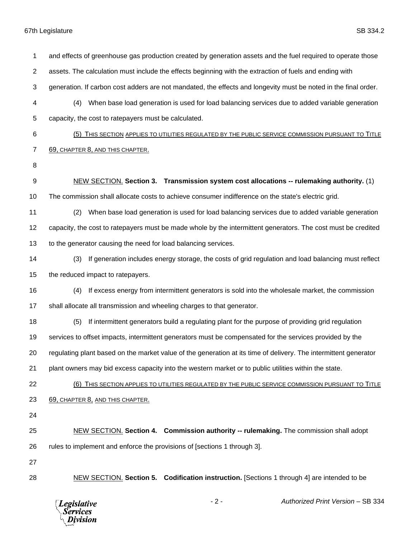## 67th Legislature SB 334.2

 and effects of greenhouse gas production created by generation assets and the fuel required to operate those assets. The calculation must include the effects beginning with the extraction of fuels and ending with generation. If carbon cost adders are not mandated, the effects and longevity must be noted in the final order. (4) When base load generation is used for load balancing services due to added variable generation capacity, the cost to ratepayers must be calculated. (5) THIS SECTION APPLIES TO UTILITIES REGULATED BY THE PUBLIC SERVICE COMMISSION PURSUANT TO TITLE 69, CHAPTER 8, AND THIS CHAPTER. NEW SECTION. **Section 3. Transmission system cost allocations -- rulemaking authority.** (1) The commission shall allocate costs to achieve consumer indifference on the state's electric grid. (2) When base load generation is used for load balancing services due to added variable generation capacity, the cost to ratepayers must be made whole by the intermittent generators. The cost must be credited to the generator causing the need for load balancing services. (3) If generation includes energy storage, the costs of grid regulation and load balancing must reflect the reduced impact to ratepayers. (4) If excess energy from intermittent generators is sold into the wholesale market, the commission shall allocate all transmission and wheeling charges to that generator. (5) If intermittent generators build a regulating plant for the purpose of providing grid regulation services to offset impacts, intermittent generators must be compensated for the services provided by the regulating plant based on the market value of the generation at its time of delivery. The intermittent generator plant owners may bid excess capacity into the western market or to public utilities within the state. (6) THIS SECTION APPLIES TO UTILITIES REGULATED BY THE PUBLIC SERVICE COMMISSION PURSUANT TO TITLE 69, CHAPTER 8, AND THIS CHAPTER. NEW SECTION. **Section 4. Commission authority -- rulemaking.** The commission shall adopt rules to implement and enforce the provisions of [sections 1 through 3]. NEW SECTION. **Section 5. Codification instruction.** [Sections 1 through 4] are intended to be